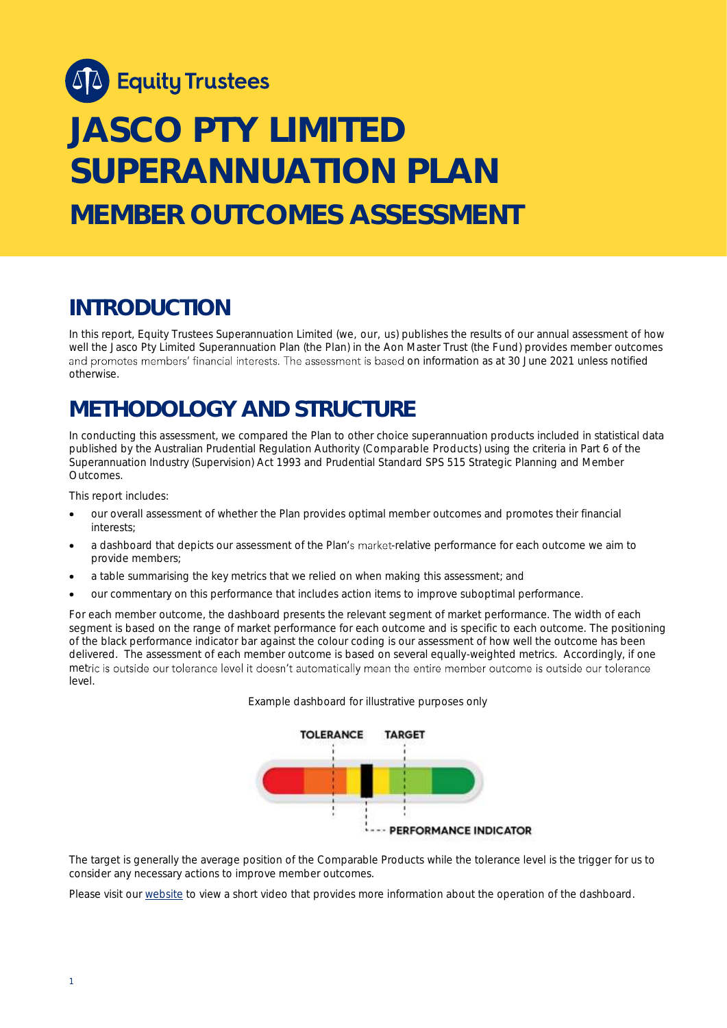

# **JASCO PTY LIMITED SUPERANNUATION PLAN MEMBER OUTCOMES ASSESSMENT**

# **INTRODUCTION**

In this report, Equity Trustees Superannuation Limited (we, our, us) publishes the results of our annual assessment of how well the Jasco Pty Limited Superannuation Plan (the Plan) in the Aon Master Trust (the Fund) provides member outcomes and promotes members' financial interests. The assessment is based on information as at 30 June 2021 unless notified otherwise.

# **METHODOLOGY AND STRUCTURE**

In conducting this assessment, we compared the Plan to other choice superannuation products included in statistical data published by the Australian Prudential Regulation Authority (Comparable Products) using the criteria in Part 6 of the *Superannuation Industry (Supervision) Act 1993* and Prudential Standard SPS 515 *Strategic Planning and Member Outcomes*.

This report includes:

- our overall assessment of whether the Plan provides optimal member outcomes and promotes their financial interests;
- a dashboard that depicts our assessment of the Plan's market-relative performance for each outcome we aim to provide members;
- a table summarising the key metrics that we relied on when making this assessment; and
- our commentary on this performance that includes action items to improve suboptimal performance.

For each member outcome, the dashboard presents the relevant segment of market performance. The width of each segment is based on the range of market performance for each outcome and is specific to each outcome. The positioning of the black performance indicator bar against the colour coding is our assessment of how well the outcome has been delivered. The assessment of each member outcome is based on several equally-weighted metrics. Accordingly, if one metric is outside our tolerance level it doesn't automatically mean the entire member outcome is outside our tolerance level.





The target is generally the average position of the Comparable Products while the tolerance level is the trigger for us to consider any necessary actions to improve member outcomes.

Please visit our [website](https://www.eqt.com.au/superannuation) to view a short video that provides more information about the operation of the dashboard.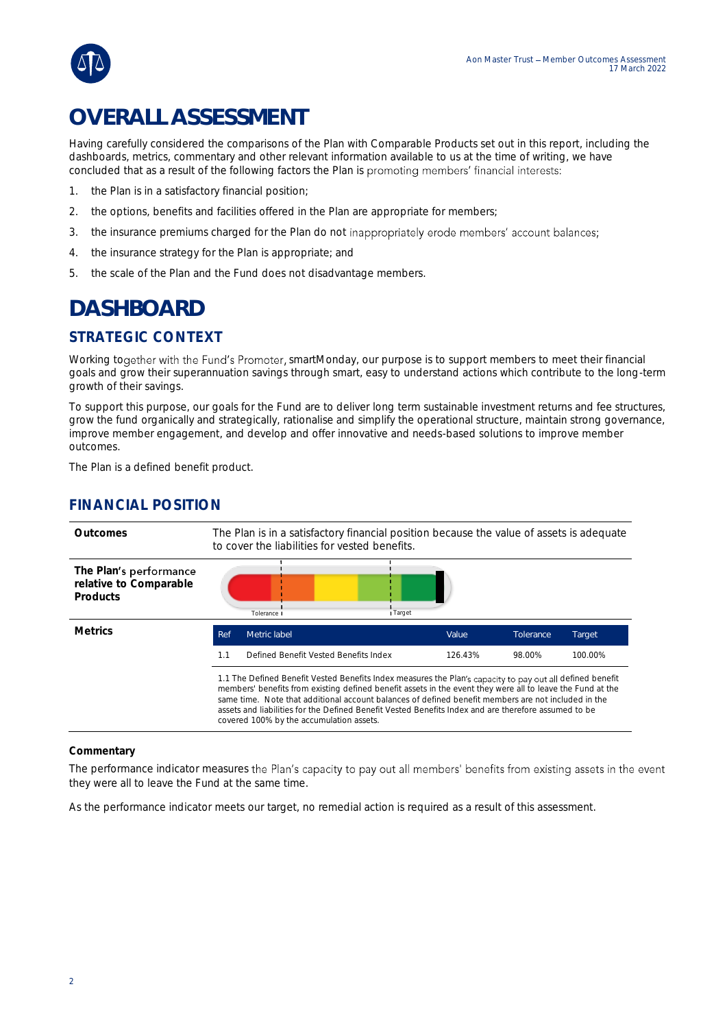

# **OVERALL ASSESSMENT**

Having carefully considered the comparisons of the Plan with Comparable Products set out in this report, including the dashboards, metrics, commentary and other relevant information available to us at the time of writing, we have concluded that as a result of the following factors the Plan is promoting members' financial interests:

- 1. the Plan is in a satisfactory financial position;
- 2. the options, benefits and facilities offered in the Plan are appropriate for members;
- 3. the insurance premiums charged for the Plan do not inappropriately erode members' account balances;
- 4. the insurance strategy for the Plan is appropriate; and
- 5. the scale of the Plan and the Fund does not disadvantage members.

# **DASHBOARD**

# STRATEGIC CONTEXT

Working together with the Fund's Promoter, smartMonday, our purpose is to support members to meet their financial goals and grow their superannuation savings through smart, easy to understand actions which contribute to the long-term growth of their savings.

To support this purpose, our goals for the Fund are to deliver long term sustainable investment returns and fee structures, grow the fund organically and strategically, rationalise and simplify the operational structure, maintain strong governance, improve member engagement, and develop and offer innovative and needs-based solutions to improve member outcomes.

The Plan is a defined benefit product.

## FINANCIAL POSITION

| Outcomes                                                     | The Plan is in a satisfactory financial position because the value of assets is adequate<br>to cover the liabilities for vested benefits.                                                                                                                                                                                                                                                                                                                                          |                                       |  |         |           |         |
|--------------------------------------------------------------|------------------------------------------------------------------------------------------------------------------------------------------------------------------------------------------------------------------------------------------------------------------------------------------------------------------------------------------------------------------------------------------------------------------------------------------------------------------------------------|---------------------------------------|--|---------|-----------|---------|
| The Plan's performance<br>relative to Comparable<br>Products |                                                                                                                                                                                                                                                                                                                                                                                                                                                                                    | I Target<br>Tolerance I               |  |         |           |         |
| <b>Metrics</b>                                               | Ref                                                                                                                                                                                                                                                                                                                                                                                                                                                                                | Metric label                          |  | Value   | Tolerance | Target  |
|                                                              | 1.1                                                                                                                                                                                                                                                                                                                                                                                                                                                                                | Defined Benefit Vested Benefits Index |  | 126.43% | 98.00%    | 100.00% |
|                                                              | 1.1 The Defined Benefit Vested Benefits Index measures the Plan's capacity to pay out all defined benefit<br>members' benefits from existing defined benefit assets in the event they were all to leave the Fund at the<br>same time. Note that additional account balances of defined benefit members are not included in the<br>assets and liabilities for the Defined Benefit Vested Benefits Index and are therefore assumed to be<br>covered 100% by the accumulation assets. |                                       |  |         |           |         |

#### **Commentary**

The performance indicator measures the Plan's capacity to pay out all members' benefits from existing assets in the event they were all to leave the Fund at the same time.

As the performance indicator meets our target, no remedial action is required as a result of this assessment.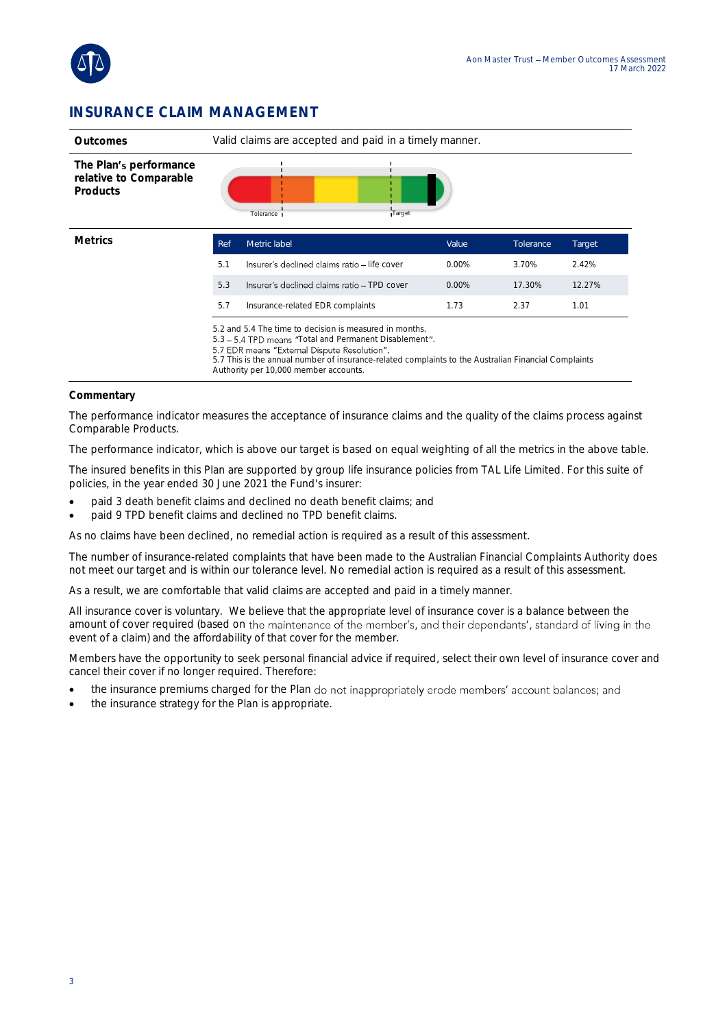

### INSURANCE CLAIM MANAGEMENT

| Outcomes                                                     | Valid claims are accepted and paid in a timely manner.                                                                                                                                                                                                                                                             |                                              |          |           |        |  |
|--------------------------------------------------------------|--------------------------------------------------------------------------------------------------------------------------------------------------------------------------------------------------------------------------------------------------------------------------------------------------------------------|----------------------------------------------|----------|-----------|--------|--|
| The Plan's performance<br>relative to Comparable<br>Products |                                                                                                                                                                                                                                                                                                                    | Tolerance<br>Target                          |          |           |        |  |
| <b>Metrics</b>                                               | Ref                                                                                                                                                                                                                                                                                                                | Metric label                                 | Value    | Tolerance | Target |  |
|                                                              | 5.1                                                                                                                                                                                                                                                                                                                | Insurer's declined claims ratio - life cover | $0.00\%$ | 3.70%     | 2.42%  |  |
|                                                              | 5.3                                                                                                                                                                                                                                                                                                                | Insurer's declined claims ratio - TPD cover  | $0.00\%$ | 17.30%    | 12.27% |  |
|                                                              | 5.7                                                                                                                                                                                                                                                                                                                | Insurance-related EDR complaints             | 1.73     | 2.37      | 1.01   |  |
|                                                              | 5.2 and 5.4 The time to decision is measured in months.<br>5.3 - 5.4 TPD means "Total and Permanent Disablement".<br>5.7 EDR means "External Dispute Resolution".<br>5.7 This is the annual number of insurance-related complaints to the Australian Financial Complaints<br>Authority per 10,000 member accounts. |                                              |          |           |        |  |

#### **Commentary**

The performance indicator measures the acceptance of insurance claims and the quality of the claims process against Comparable Products.

The performance indicator, which is above our target is based on equal weighting of all the metrics in the above table.

The insured benefits in this Plan are supported by group life insurance policies from TAL Life Limited. For this suite of policies, in the year ended 30 June 2021 the Fund's insurer:

- paid 3 death benefit claims and declined no death benefit claims; and
- paid 9 TPD benefit claims and declined no TPD benefit claims.

As no claims have been declined, no remedial action is required as a result of this assessment.

The number of insurance-related complaints that have been made to the Australian Financial Complaints Authority does not meet our target and is within our tolerance level. No remedial action is required as a result of this assessment.

As a result, we are comfortable that valid claims are accepted and paid in a timely manner.

All insurance cover is voluntary. We believe that the appropriate level of insurance cover is a balance between the amount of cover required (based on the maintenance of the member's, and their dependants', standard of living in the event of a claim) and the affordability of that cover for the member.

Members have the opportunity to seek personal financial advice if required, select their own level of insurance cover and cancel their cover if no longer required. Therefore:

- the insurance premiums charged for the Plan do not inappropriately erode members' account balances; and
- the insurance strategy for the Plan is appropriate.